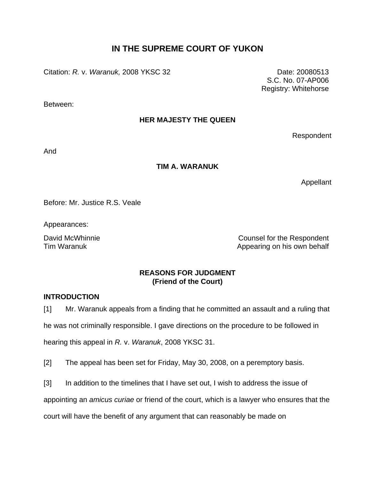# **IN THE SUPREME COURT OF YUKON**

Citation: *R.* v. *Waranuk,* 2008 YKSC 32 Date: 20080513

S.C. No. 07-AP006 Registry: Whitehorse

Between:

# **HER MAJESTY THE QUEEN**

Respondent

And

### **TIM A. WARANUK**

Appellant

Before: Mr. Justice R.S. Veale

Appearances:

David McWhinnie **Counsel for the Respondent** Tim Waranuk **Tim Waranuk** Appearing on his own behalf

# **REASONS FOR JUDGMENT (Friend of the Court)**

### **INTRODUCTION**

[1] Mr. Waranuk appeals from a finding that he committed an assault and a ruling that he was not criminally responsible. I gave directions on the procedure to be followed in hearing this appeal in *R.* v. *Waranuk*, 2008 YKSC 31.

[2] The appeal has been set for Friday, May 30, 2008, on a peremptory basis.

[3] In addition to the timelines that I have set out, I wish to address the issue of

appointing an *amicus curiae* or friend of the court, which is a lawyer who ensures that the

court will have the benefit of any argument that can reasonably be made on